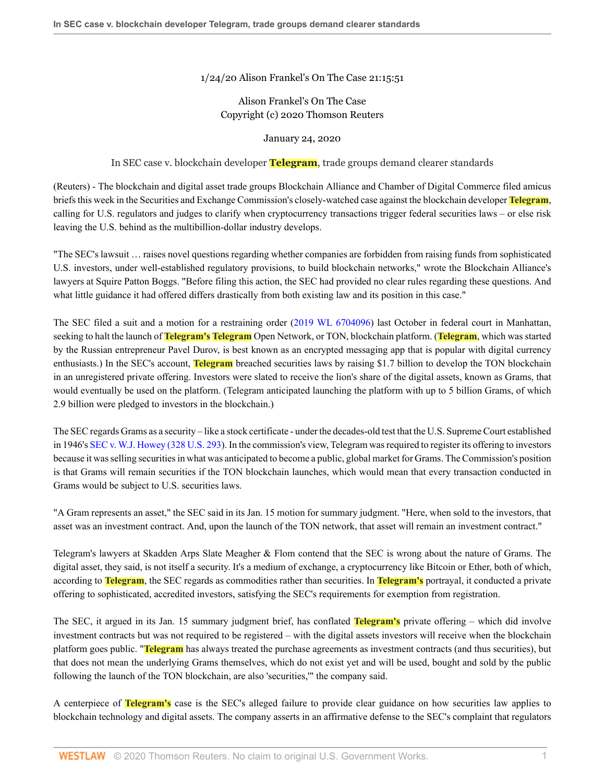1/24/20 Alison Frankel's On The Case 21:15:51

## Alison Frankel's On The Case Copyright (c) 2020 Thomson Reuters

## January 24, 2020

In SEC case v. blockchain developer **Telegram**, trade groups demand clearer standards

(Reuters) - The blockchain and digital asset trade groups Blockchain Alliance and Chamber of Digital Commerce filed amicus briefs this week in the Securities and Exchange Commission's closely-watched case against the blockchain developer **Telegram**, calling for U.S. regulators and judges to clarify when cryptocurrency transactions trigger federal securities laws – or else risk leaving the U.S. behind as the multibillion-dollar industry develops.

"The SEC's lawsuit … raises novel questions regarding whether companies are forbidden from raising funds from sophisticated U.S. investors, under well-established regulatory provisions, to build blockchain networks," wrote the Blockchain Alliance's lawyers at Squire Patton Boggs. "Before filing this action, the SEC had provided no clear rules regarding these questions. And what little guidance it had offered differs drastically from both existing law and its position in this case."

The SEC filed a suit and a motion for a restraining order ([2019 WL 6704096](http://www.westlaw.com/Link/Document/FullText?findType=Y&serNum=2049816030&pubNum=0000999&originatingDoc=I2c2308d03ef311ea9dd0e722c462db87&refType=RP&originationContext=document&vr=3.0&rs=cblt1.0&transitionType=DocumentItem&contextData=(sc.Search))) last October in federal court in Manhattan, seeking to halt the launch of **Telegram's Telegram** Open Network, or TON, blockchain platform. (**Telegram**, which was started by the Russian entrepreneur Pavel Durov, is best known as an encrypted messaging app that is popular with digital currency enthusiasts.) In the SEC's account, **Telegram** breached securities laws by raising \$1.7 billion to develop the TON blockchain in an unregistered private offering. Investors were slated to receive the lion's share of the digital assets, known as Grams, that would eventually be used on the platform. (Telegram anticipated launching the platform with up to 5 billion Grams, of which 2.9 billion were pledged to investors in the blockchain.)

The SEC regards Grams as a security – like a stock certificate - under the decades-old test that the U.S. Supreme Court established in 1946's [SEC v. W.J. Howey \(328 U.S. 293](http://www.westlaw.com/Link/Document/FullText?findType=Y&serNum=1946116181&pubNum=0000780&originatingDoc=I2c2308d03ef311ea9dd0e722c462db87&refType=RP&originationContext=document&vr=3.0&rs=cblt1.0&transitionType=DocumentItem&contextData=(sc.Search))). In the commission's view, Telegram was required to register its offering to investors because it was selling securities in what was anticipated to become a public, global market for Grams. The Commission's position is that Grams will remain securities if the TON blockchain launches, which would mean that every transaction conducted in Grams would be subject to U.S. securities laws.

"A Gram represents an asset," the SEC said in its Jan. 15 motion for summary judgment. "Here, when sold to the investors, that asset was an investment contract. And, upon the launch of the TON network, that asset will remain an investment contract."

Telegram's lawyers at Skadden Arps Slate Meagher & Flom contend that the SEC is wrong about the nature of Grams. The digital asset, they said, is not itself a security. It's a medium of exchange, a cryptocurrency like Bitcoin or Ether, both of which, according to **Telegram**, the SEC regards as commodities rather than securities. In **Telegram's** portrayal, it conducted a private offering to sophisticated, accredited investors, satisfying the SEC's requirements for exemption from registration.

The SEC, it argued in its Jan. 15 summary judgment brief, has conflated **Telegram's** private offering – which did involve investment contracts but was not required to be registered – with the digital assets investors will receive when the blockchain platform goes public. "**Telegram** has always treated the purchase agreements as investment contracts (and thus securities), but that does not mean the underlying Grams themselves, which do not exist yet and will be used, bought and sold by the public following the launch of the TON blockchain, are also 'securities,'" the company said.

A centerpiece of **Telegram's** case is the SEC's alleged failure to provide clear guidance on how securities law applies to blockchain technology and digital assets. The company asserts in an affirmative defense to the SEC's complaint that regulators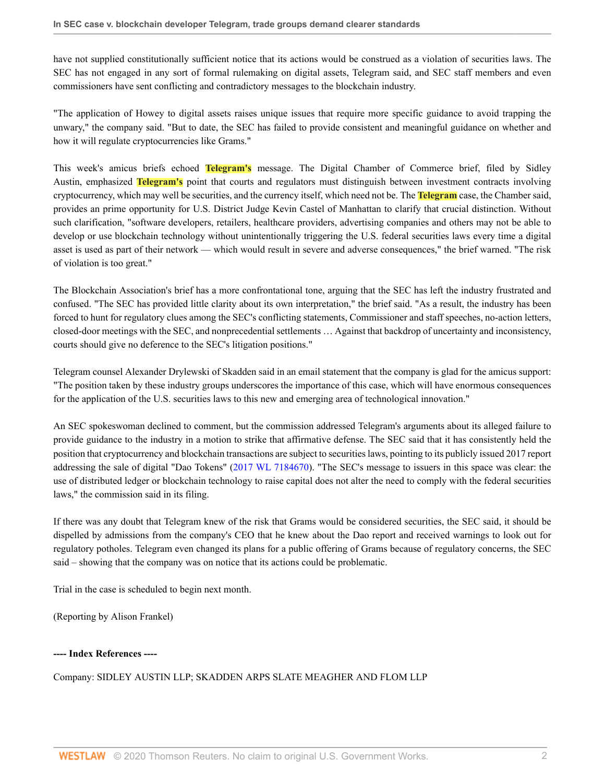have not supplied constitutionally sufficient notice that its actions would be construed as a violation of securities laws. The SEC has not engaged in any sort of formal rulemaking on digital assets, Telegram said, and SEC staff members and even commissioners have sent conflicting and contradictory messages to the blockchain industry.

"The application of Howey to digital assets raises unique issues that require more specific guidance to avoid trapping the unwary," the company said. "But to date, the SEC has failed to provide consistent and meaningful guidance on whether and how it will regulate cryptocurrencies like Grams."

This week's amicus briefs echoed **Telegram's** message. The Digital Chamber of Commerce brief, filed by Sidley Austin, emphasized **Telegram's** point that courts and regulators must distinguish between investment contracts involving cryptocurrency, which may well be securities, and the currency itself, which need not be. The **Telegram** case, the Chamber said, provides an prime opportunity for U.S. District Judge Kevin Castel of Manhattan to clarify that crucial distinction. Without such clarification, "software developers, retailers, healthcare providers, advertising companies and others may not be able to develop or use blockchain technology without unintentionally triggering the U.S. federal securities laws every time a digital asset is used as part of their network — which would result in severe and adverse consequences," the brief warned. "The risk of violation is too great."

The Blockchain Association's brief has a more confrontational tone, arguing that the SEC has left the industry frustrated and confused. "The SEC has provided little clarity about its own interpretation," the brief said. "As a result, the industry has been forced to hunt for regulatory clues among the SEC's conflicting statements, Commissioner and staff speeches, no-action letters, closed-door meetings with the SEC, and nonprecedential settlements … Against that backdrop of uncertainty and inconsistency, courts should give no deference to the SEC's litigation positions."

Telegram counsel Alexander Drylewski of Skadden said in an email statement that the company is glad for the amicus support: "The position taken by these industry groups underscores the importance of this case, which will have enormous consequences for the application of the U.S. securities laws to this new and emerging area of technological innovation."

An SEC spokeswoman declined to comment, but the commission addressed Telegram's arguments about its alleged failure to provide guidance to the industry in a motion to strike that affirmative defense. The SEC said that it has consistently held the position that cryptocurrency and blockchain transactions are subject to securities laws, pointing to its publicly issued 2017 report addressing the sale of digital "Dao Tokens" [\(2017 WL 7184670\)](http://www.westlaw.com/Link/Document/FullText?findType=Y&serNum=2043714794&pubNum=0000999&originatingDoc=I2c2308d03ef311ea9dd0e722c462db87&refType=RP&originationContext=document&vr=3.0&rs=cblt1.0&transitionType=DocumentItem&contextData=(sc.Search)). "The SEC's message to issuers in this space was clear: the use of distributed ledger or blockchain technology to raise capital does not alter the need to comply with the federal securities laws," the commission said in its filing.

If there was any doubt that Telegram knew of the risk that Grams would be considered securities, the SEC said, it should be dispelled by admissions from the company's CEO that he knew about the Dao report and received warnings to look out for regulatory potholes. Telegram even changed its plans for a public offering of Grams because of regulatory concerns, the SEC said – showing that the company was on notice that its actions could be problematic.

Trial in the case is scheduled to begin next month.

(Reporting by Alison Frankel)

## **---- Index References ----**

## Company: SIDLEY AUSTIN LLP; SKADDEN ARPS SLATE MEAGHER AND FLOM LLP